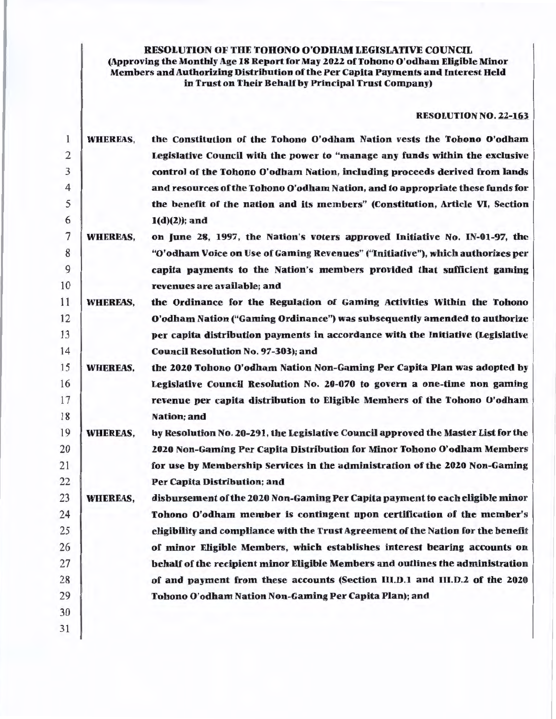# RESOLUTION OF THE TOHONO O'ODHAM LEGISLATIVE COUNCIL (Approving the Monthly Age 18 Report for May 2022 of Tohono O'odham Eligible Minor

Members and Authorizing Distribution of the Per Capita Payments and Interest Held in Trust on Their Behalf by Principal Trust Company)

## RESOLUTION NO. 22-163

| 1              | <b>WHEREAS,</b> | the Constitution of the Tohono O'odham Nation vests the Tohono O'odham             |
|----------------|-----------------|------------------------------------------------------------------------------------|
| $\overline{2}$ |                 | Legislative Council with the power to "manage any funds within the exclusive       |
| 3              |                 | control of the Tohono O'odham Nation, including proceeds derived from lands        |
| 4              |                 | and resources of the Tohono O'odham Nation, and to appropriate these funds for     |
| 5              |                 | the benefit of the nation and its members" (Constitution, Article VI, Section      |
| 6              |                 | $1(d)(2))$ ; and                                                                   |
| 7              | <b>WHEREAS,</b> | on June 28, 1997, the Nation's voters approved Initiative No. IN-01-97, the        |
| $\bf 8$        |                 | "O'odham Voice on Use of Gaming Revenues" ("Initiative"), which authorizes per     |
| 9              |                 | capita payments to the Nation's members provided that sufficient gaming            |
| 10             |                 | revenues are available; and                                                        |
| 11             | <b>WHEREAS,</b> | the Ordinance for the Regulation of Gaming Activities Within the Tohono            |
| 12             |                 | O'odham Nation ("Gaming Ordinance") was subsequently amended to authorize          |
| 13             |                 | per capita distribution payments in accordance with the Initiative (Legislative    |
| 14             |                 | Council Resolution No. 97-303); and                                                |
| 15             | <b>WHEREAS,</b> | the 2020 Tohono O'odham Nation Non-Gaming Per Capita Plan was adopted by           |
| 16             |                 | Legislative Council Resolution No. 20-070 to govern a one-time non gaming          |
| 17             |                 | revenue per capita distribution to Eligible Memhers of the Tohono O'odham          |
| 18             |                 | Nation; and                                                                        |
| 19             | <b>WHEREAS,</b> | by Resolution No. 20-291, the Legislative Council approved the Master List for the |
| 20             |                 | 2020 Non-Gaming Per Capita Distribution for Minor Tohono O'odham Members           |
| 21             |                 | for use by Membership Services in the administration of the 2020 Non-Gaming        |
| 22             |                 | Per Capita Distribution; and                                                       |
| 23             | <b>WHEREAS,</b> | disbursement of the 2020 Non-Gaming Per Capita payment to each eligible minor      |
| 24             |                 | Tohono O'odham member is contingent upon certification of the member's             |
| 25             |                 | eligibility and compliance with the Trust Agreement of the Nation for the benefit  |
| 26             |                 | of minor Eligible Members, which establishes interest bearing accounts on          |
| 27             |                 | behalf of the recipient minor Eligible Members and outlines the administration     |
| 28             |                 | of and payment from these accounts (Section III.D.1 and III.D.2 of the 2020        |
| 29             |                 | Tohono O'odham Nation Non-Gaming Per Capita Plan); and                             |
| 30             |                 |                                                                                    |
| 31             |                 |                                                                                    |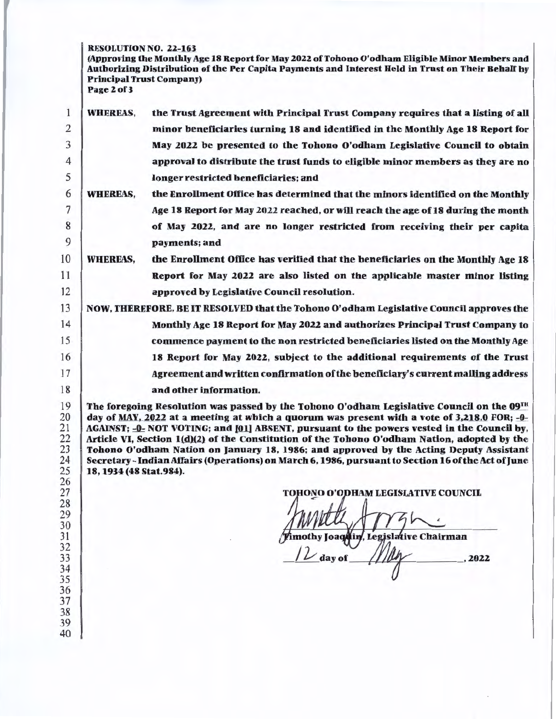## RESOLUTION NO. 22-163

(Approving the Monthly Age 18 Report for May 2022 of Tohono O'odham Eligible Minor Members and Authorizing Distribution of the Per Capita Payments and Interest Held in Trust on Their Behalf by Principal Trust Company) Page 2 of 3

| 1                                                        | <b>WHEREAS,</b>                                                                         | the Trust Agreement with Principal Trust Company requires that a listing of all                                                                                                                                                                                                                                                                                                                                                                                                                                                                                                                                                                                 |  |  |  |  |  |  |  |
|----------------------------------------------------------|-----------------------------------------------------------------------------------------|-----------------------------------------------------------------------------------------------------------------------------------------------------------------------------------------------------------------------------------------------------------------------------------------------------------------------------------------------------------------------------------------------------------------------------------------------------------------------------------------------------------------------------------------------------------------------------------------------------------------------------------------------------------------|--|--|--|--|--|--|--|
| $\overline{2}$                                           |                                                                                         | minor beneficiaries turning 18 and identified in the Monthly Age 18 Report for                                                                                                                                                                                                                                                                                                                                                                                                                                                                                                                                                                                  |  |  |  |  |  |  |  |
| 3                                                        |                                                                                         | May 2022 be presented to the Tohono O'odham Legislative Council to obtain                                                                                                                                                                                                                                                                                                                                                                                                                                                                                                                                                                                       |  |  |  |  |  |  |  |
| $\overline{4}$                                           |                                                                                         | approval to distribute the trust funds to eligible minor members as they are no                                                                                                                                                                                                                                                                                                                                                                                                                                                                                                                                                                                 |  |  |  |  |  |  |  |
| 5                                                        |                                                                                         | longer restricted beneficiaries; and                                                                                                                                                                                                                                                                                                                                                                                                                                                                                                                                                                                                                            |  |  |  |  |  |  |  |
| 6                                                        | <b>WHEREAS,</b>                                                                         | the Enrollment Office has determined that the minors identified on the Monthly                                                                                                                                                                                                                                                                                                                                                                                                                                                                                                                                                                                  |  |  |  |  |  |  |  |
| 7                                                        |                                                                                         | Age 18 Report for May 2022 reached, or will reach the age of 18 during the month                                                                                                                                                                                                                                                                                                                                                                                                                                                                                                                                                                                |  |  |  |  |  |  |  |
| 8                                                        |                                                                                         | of May 2022, and are no longer restricted from receiving their per capita                                                                                                                                                                                                                                                                                                                                                                                                                                                                                                                                                                                       |  |  |  |  |  |  |  |
| 9                                                        |                                                                                         | payments; and                                                                                                                                                                                                                                                                                                                                                                                                                                                                                                                                                                                                                                                   |  |  |  |  |  |  |  |
| 10                                                       | <b>WHEREAS,</b>                                                                         | the Enrollment Office has verified that the beneficiaries on the Monthly Age 18                                                                                                                                                                                                                                                                                                                                                                                                                                                                                                                                                                                 |  |  |  |  |  |  |  |
| 11                                                       |                                                                                         | Report for May 2022 are also listed on the applicable master minor listing                                                                                                                                                                                                                                                                                                                                                                                                                                                                                                                                                                                      |  |  |  |  |  |  |  |
| 12                                                       |                                                                                         | approved by Legislative Council resolution.                                                                                                                                                                                                                                                                                                                                                                                                                                                                                                                                                                                                                     |  |  |  |  |  |  |  |
| 13                                                       | NOW, THEREFORE, BE IT RESOLVED that the Tohono O'odham Legislative Council approves the |                                                                                                                                                                                                                                                                                                                                                                                                                                                                                                                                                                                                                                                                 |  |  |  |  |  |  |  |
| 14                                                       |                                                                                         | Monthly Age 18 Report for May 2022 and authorizes Principal Trust Company to                                                                                                                                                                                                                                                                                                                                                                                                                                                                                                                                                                                    |  |  |  |  |  |  |  |
| 15                                                       | commence payment to the non restricted beneficiaries listed on the Monthly Age          |                                                                                                                                                                                                                                                                                                                                                                                                                                                                                                                                                                                                                                                                 |  |  |  |  |  |  |  |
| 16                                                       | 18 Report for May 2022, subject to the additional requirements of the Trust             |                                                                                                                                                                                                                                                                                                                                                                                                                                                                                                                                                                                                                                                                 |  |  |  |  |  |  |  |
| 17                                                       |                                                                                         | Agreement and written confirmation of the beneficiary's current mailing address                                                                                                                                                                                                                                                                                                                                                                                                                                                                                                                                                                                 |  |  |  |  |  |  |  |
| 18                                                       |                                                                                         | and other information.                                                                                                                                                                                                                                                                                                                                                                                                                                                                                                                                                                                                                                          |  |  |  |  |  |  |  |
| 19<br>20<br>21<br>22<br>23<br>24<br>25<br>26<br>27<br>28 | 18, 1934 (48 Stat.984).                                                                 | The foregoing Resolution was passed by the Tohono O'odham Legislative Council on the $09^{TH}$<br>day of MAY, 2022 at a meeting at which a quorum was present with a vote of 3,218.0 FOR; -0-<br>AGAINST; -0- NOT VOTING; and [01] ABSENT, pursuant to the powers vested in the Council by,<br>Article VI, Section 1(d)(2) of the Constitution of the Tohono O'odham Nation, adopted by the<br>Tohono O'odham Nation on January 18, 1986; and approved by the Acting Deputy Assistant<br>Secretary - Indian Affairs (Operations) on March 6, 1986, pursuant to Section 16 of the Act of June<br>TOHONO O'ODHAM LEGISLATIVE COUNCIL<br>hurst Hi<br>l<br>$\gamma$ |  |  |  |  |  |  |  |
| 29<br>30<br>31<br>32                                     |                                                                                         |                                                                                                                                                                                                                                                                                                                                                                                                                                                                                                                                                                                                                                                                 |  |  |  |  |  |  |  |
|                                                          |                                                                                         | Timothy Joaqdin, Legislative Chairman<br>12 day of 11 14                                                                                                                                                                                                                                                                                                                                                                                                                                                                                                                                                                                                        |  |  |  |  |  |  |  |
|                                                          |                                                                                         | 2022                                                                                                                                                                                                                                                                                                                                                                                                                                                                                                                                                                                                                                                            |  |  |  |  |  |  |  |
| $\frac{1}{33}$                                           |                                                                                         |                                                                                                                                                                                                                                                                                                                                                                                                                                                                                                                                                                                                                                                                 |  |  |  |  |  |  |  |
| 35                                                       |                                                                                         |                                                                                                                                                                                                                                                                                                                                                                                                                                                                                                                                                                                                                                                                 |  |  |  |  |  |  |  |
| 36                                                       |                                                                                         |                                                                                                                                                                                                                                                                                                                                                                                                                                                                                                                                                                                                                                                                 |  |  |  |  |  |  |  |
| 37                                                       |                                                                                         |                                                                                                                                                                                                                                                                                                                                                                                                                                                                                                                                                                                                                                                                 |  |  |  |  |  |  |  |
| 38                                                       |                                                                                         |                                                                                                                                                                                                                                                                                                                                                                                                                                                                                                                                                                                                                                                                 |  |  |  |  |  |  |  |
| 39<br>40                                                 |                                                                                         |                                                                                                                                                                                                                                                                                                                                                                                                                                                                                                                                                                                                                                                                 |  |  |  |  |  |  |  |
|                                                          |                                                                                         |                                                                                                                                                                                                                                                                                                                                                                                                                                                                                                                                                                                                                                                                 |  |  |  |  |  |  |  |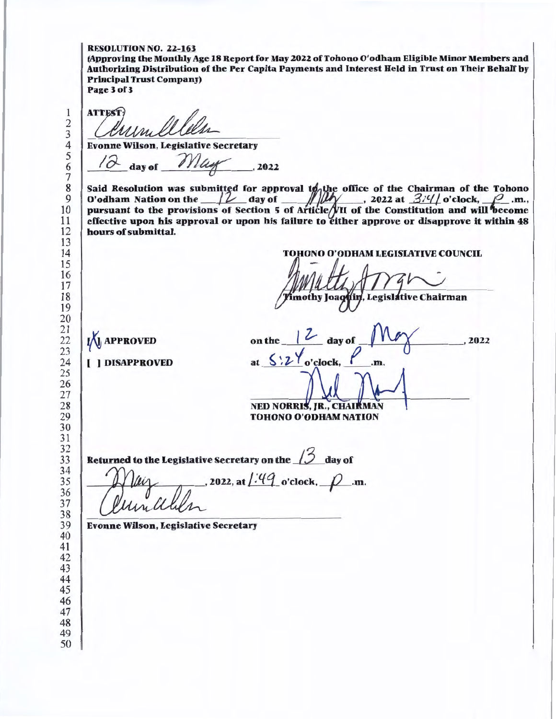### RESOLUTION NO. 22-163

(Approving the Monthly Age 18 Report for May 2022 of Tohono O'odham Eligible Minor Members and Authorizing Distribution of the Per Capita Payments and Interest Held in Trust on Their Behalf by **Principal Trust Company)** Page3of3

 

**ATTEST:** 

Evonne Wilson, Legislative Secretary

12 day of *May* .2022

Said Resolution was submitted for approval to the office of the Chairman of the Tohono O'odham Nation on the  $\mu$  day of  $\mu$  , 2022 at  $\frac{3/4}{1}$  o'clock,  $\rho$  .m., pursuant to the provisions of Section 5 of Article  $\sqrt{\ }$ II of the Constitution and will become effective upon his approval or upon his failure to either approve or disapprove it within 48 hours of submittal.

TOHONO O'ODHAM LEGISLATIVE COUNCIL

mothy Joaquin, Legislative Chairman

**APPROVED** 

[ ) DISAPPROVED

on the  $/$  day of at  $\frac{1}{2}$  / o'clock, ,2022

NED NORRIS, JR., CHAIKMAN<br>TOHONO O'ODHAM NATION

Return ed to the Legislative Secretary on the  $\sqrt{2}$  day of

NED NORRIS, , at  $/$ :49 o'clock,  $\rho$ <sub>-</sub>.m.

Evonne Wilson, Legislative Secretary